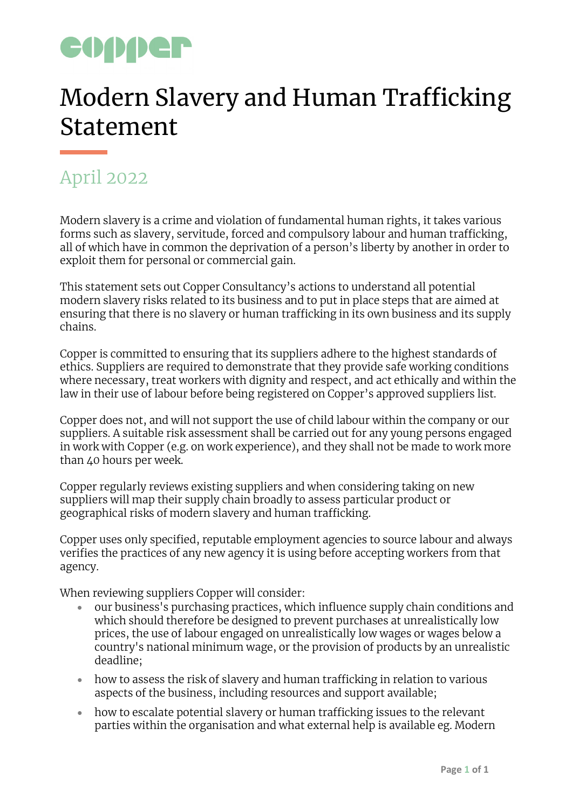## CODDER

## Modern Slavery and Human Trafficking Statement

## April 2022

Modern slavery is a crime and violation of fundamental human rights, it takes various forms such as slavery, servitude, forced and compulsory labour and human trafficking, all of which have in common the deprivation of a person's liberty by another in order to exploit them for personal or commercial gain.

This statement sets out Copper Consultancy's actions to understand all potential modern slavery risks related to its business and to put in place steps that are aimed at ensuring that there is no slavery or human trafficking in its own business and its supply chains.

Copper is committed to ensuring that its suppliers adhere to the highest standards of ethics. Suppliers are required to demonstrate that they provide safe working conditions where necessary, treat workers with dignity and respect, and act ethically and within the law in their use of labour before being registered on Copper's approved suppliers list.

Copper does not, and will not support the use of child labour within the company or our suppliers. A suitable risk assessment shall be carried out for any young persons engaged in work with Copper (e.g. on work experience), and they shall not be made to work more than 40 hours per week.

Copper regularly reviews existing suppliers and when considering taking on new suppliers will map their supply chain broadly to assess particular product or geographical risks of modern slavery and human trafficking.

Copper uses only specified, reputable employment agencies to source labour and always verifies the practices of any new agency it is using before accepting workers from that agency.

When reviewing suppliers Copper will consider:

- our business's purchasing practices, which influence supply chain conditions and which should therefore be designed to prevent purchases at unrealistically low prices, the use of labour engaged on unrealistically low wages or wages below a country's national minimum wage, or the provision of products by an unrealistic deadline;
- how to assess the risk of slavery and human trafficking in relation to various aspects of the business, including resources and support available;
- how to escalate potential slavery or human trafficking issues to the relevant parties within the organisation and what external help is available eg. Modern